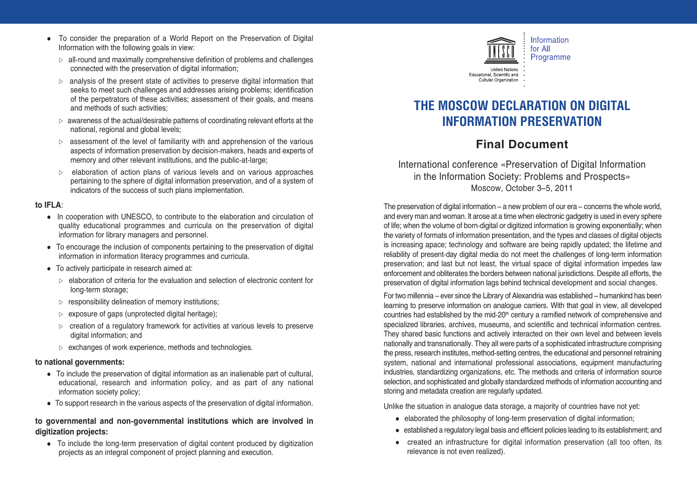- To consider the preparation of a World Report on the Preservation of Digital Information with the following goals in view:
	- $\triangleright$  all-round and maximally comprehensive definition of problems and challenges connected with the preservation of digital information;
	- $\triangleright$  analysis of the present state of activities to preserve digital information that seeks to meet such challenges and addresses arising problems; identification of the perpetrators of these activities; assessment of their goals, and means and methods of such activities;
	- $\triangleright$  awareness of the actual/desirable patterns of coordinating relevant efforts at the national, regional and global levels;
	- $\triangleright$  assessment of the level of familiarity with and apprehension of the various aspects of information preservation by decision-makers, heads and experts of memory and other relevant institutions, and the public-at-large;
	- $\triangleright$  elaboration of action plans of various levels and on various approaches pertaining to the sphere of digital information preservation, and of a system of indicators of the success of such plans implementation.

### **to IFLA**:

- In cooperation with UNESCO, to contribute to the elaboration and circulation of quality educational programmes and curricula on the preservation of digital information for library managers and personnel.
- To encourage the inclusion of components pertaining to the preservation of digital information in information literacy programmes and curricula.
- To actively participate in research aimed at:
	- $\triangleright$  elaboration of criteria for the evaluation and selection of electronic content for long-term storage;
	- $\triangleright$  responsibility delineation of memory institutions:
	- $\triangleright$  exposure of gaps (unprotected digital heritage);
	- $\triangleright$  creation of a regulatory framework for activities at various levels to preserve digital information; and
	- $\triangleright$  exchanges of work experience, methods and technologies.

#### **to national governments:**

- To include the preservation of digital information as an inalienable part of cultural, educational, research and information policy, and as part of any national information society policy;
- To support research in the various aspects of the preservation of digital information.

### **to governmental and non-governmental institutions which are involved in digitization projects:**

- To include the long-term preservation of digital content produced by digitization projects as an integral component of project planning and execution.



# **THE MOSCOW DECLARATION ON DIGITAL INFORMATION PRESERVATION**

## **Final Document**

International conference «Preservation of Digital Information in the Information Society: Problems and Prospects» Moscow, October 3–5, 2011

The preservation of digital information – a new problem of our era – concerns the whole world, and every man and woman. It arose at a time when electronic gadgetry is used in every sphere of life; when the volume of born-digital or digitized information is growing exponentially; when the variety of formats of information presentation, and the types and classes of digital objects is increasing apace; technology and software are being rapidly updated; the lifetime and reliability of present-day digital media do not meet the challenges of long-term information preservation; and last but not least, the virtual space of digital information impedes law enforcement and obliterates the borders between national jurisdictions. Despite all efforts, the preservation of digital information lags behind technical development and social changes.

For two millennia – ever since the Library of Alexandria was established – humankind has been learning to preserve information on analogue carriers. With that goal in view, all developed countries had established by the mid-20<sup>th</sup> century a ramified network of comprehensive and specialized libraries, archives, museums, and scientific and technical information centres. They shared basic functions and actively interacted on their own level and between levels nationally and transnationally. They all were parts of a sophisticated infrastructure comprising the press, research institutes, method-setting centres, the educational and personnel retraining system, national and international professional associations, equipment manufacturing industries, standardizing organizations, etc. The methods and criteria of information source selection, and sophisticated and globally standardized methods of information accounting and storing and metadata creation are regularly updated.

Unlike the situation in analogue data storage, a majority of countries have not yet:

- elaborated the philosophy of long-term preservation of digital information;
- $\bullet~$  established a regulatory legal basis and efficient policies leading to its establishment; and
- created an infrastructure for digital information preservation (all too often, its relevance is not even realized).